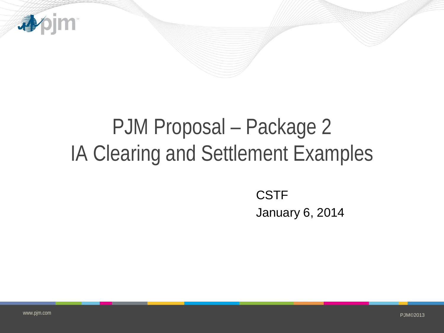

## PJM Proposal – Package 2 IA Clearing and Settlement Examples

**CSTF** January 6, 2014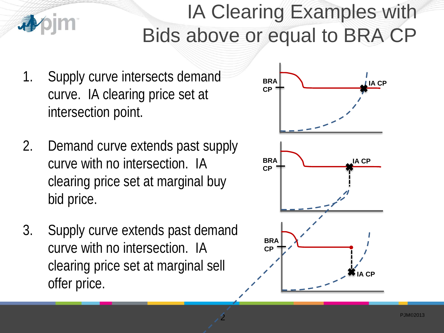## IA Clearing Examples with Bids above or equal to BRA CP

- 1. Supply curve intersects demand curve. IA clearing price set at intersection point.
- 2. Demand curve extends past supply curve with no intersection. IA clearing price set at marginal buy bid price.
- 3. Supply curve extends past demand curve with no intersection. IA clearing price set at marginal sell offer price.

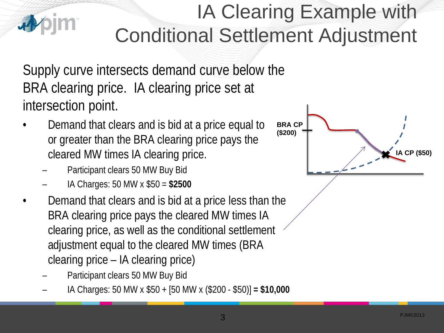## IA Clearing Example with Conditional Settlement Adjustment

Supply curve intersects demand curve below the BRA clearing price. IA clearing price set at intersection point.

- Demand that clears and is bid at a price equal to or greater than the BRA clearing price pays the cleared MW times IA clearing price.
	- Participant clears 50 MW Buy Bid
	- IA Charges: 50 MW x \$50 = **\$2500**
- Demand that clears and is bid at a price less than the BRA clearing price pays the cleared MW times IA clearing price, as well as the conditional settlement adjustment equal to the cleared MW times (BRA clearing price – IA clearing price)
	- Participant clears 50 MW Buy Bid
	- IA Charges: 50 MW x \$50 + [50 MW x (\$200 \$50)] **= \$10,000**